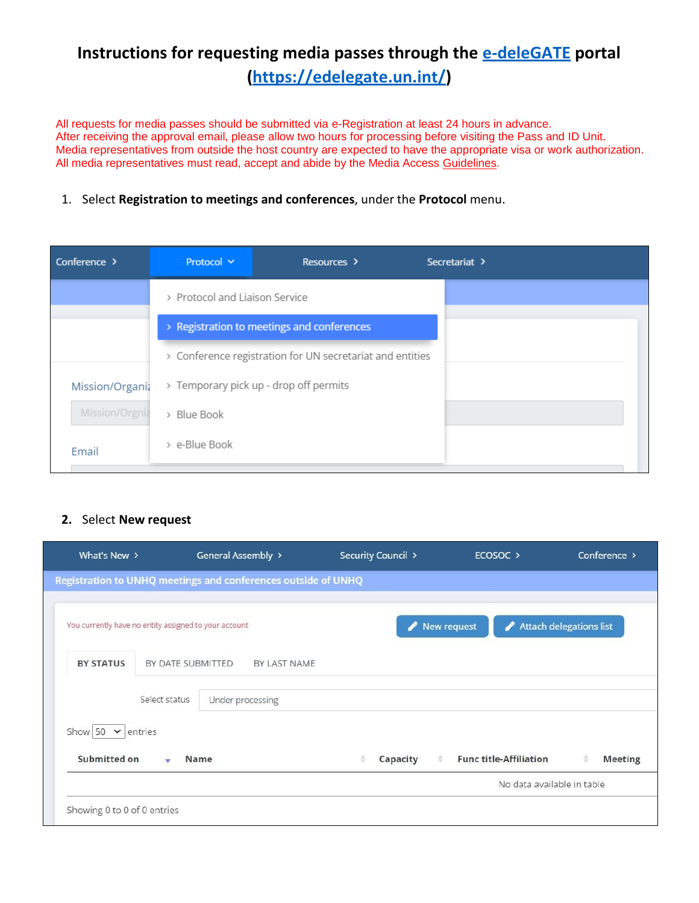## **Instructions for requesting media passes through the [e-deleGATE](https://edelegate.un.int/) portal [\(https://edelegate.un.int/\)](https://edelegate.un.int/)**

All requests for media passes should be submitted via e-Registration at least 24 hours in advance. After receiving the approval email, please allow two hours for processing before visiting the Pass and ID Unit. Media representatives from outside the host country are expected to have the appropriate visa or work authorization. All media representatives must read, accept and abide by the Media Access [Guidelines](http://www.un.org/en/media/accreditation/guidelines.shtml).

## 1. Select **Registration to meetings and conferences**, under the **Protocol** menu.

| Conference $\rightarrow$ | Protocol Y                     | Resources >                                               |  | Secretariat > |
|--------------------------|--------------------------------|-----------------------------------------------------------|--|---------------|
|                          | > Protocol and Liaison Service |                                                           |  |               |
|                          |                                | > Registration to meetings and conferences                |  |               |
|                          |                                | > Conference registration for UN secretariat and entities |  |               |
| Mission/Organiz          |                                | > Temporary pick up - drop off permits                    |  |               |
| Mission/Orgniz           | > Blue Book                    |                                                           |  |               |
| Email                    | > e-Blue Book                  |                                                           |  |               |

## **2.** Select **New request**

| What's New $\rightarrow$                              |                   | General Assembly >                                            | Security Council > | ECOSOC >                      | Conference >            |
|-------------------------------------------------------|-------------------|---------------------------------------------------------------|--------------------|-------------------------------|-------------------------|
|                                                       |                   | Registration to UNHQ meetings and conferences outside of UNHQ |                    |                               |                         |
|                                                       |                   |                                                               |                    |                               |                         |
| You currently have no entity assigned to your account |                   |                                                               | New request        |                               | Attach delegations list |
| <b>BY STATUS</b>                                      | BY DATE SUBMITTED | BY LAST NAME                                                  |                    |                               |                         |
|                                                       | Select status     |                                                               |                    |                               |                         |
|                                                       |                   | Under processing                                              |                    |                               |                         |
| Show 50 $\vee$ entries                                |                   |                                                               |                    |                               |                         |
| Submitted on                                          | $\mathbf{v}$      | Name                                                          | Capacity<br>٠      | <b>Func title-Affiliation</b> | <b>Meeting</b>          |
|                                                       |                   |                                                               |                    | No data available in table    |                         |
| Showing 0 to 0 of 0 entries                           |                   |                                                               |                    |                               |                         |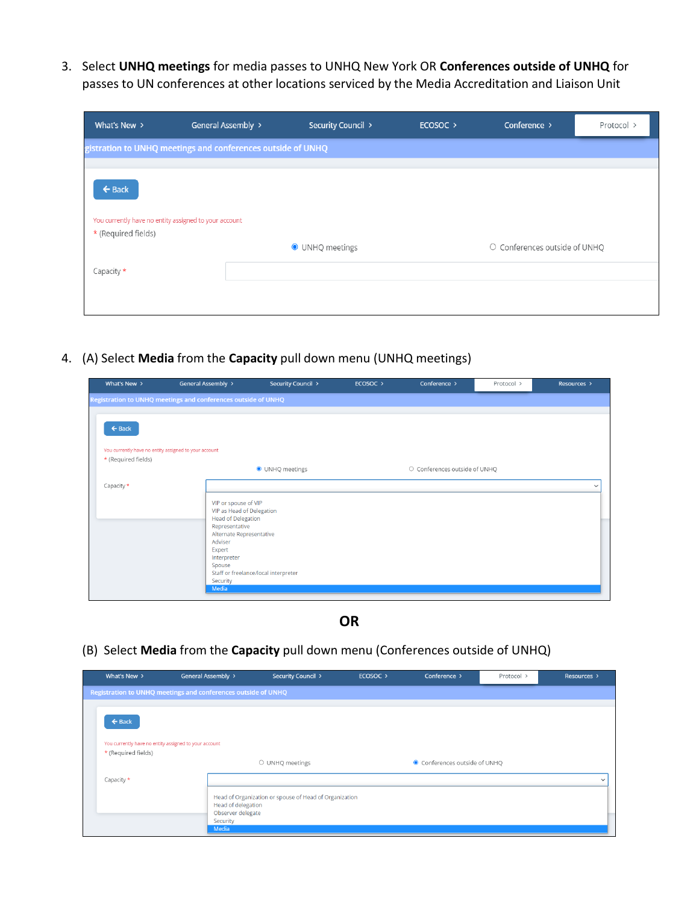3. Select **UNHQ meetings** for media passes to UNHQ New York OR **Conferences outside of UNHQ** for passes to UN conferences at other locations serviced by the Media Accreditation and Liaison Unit

| What's New >                                                                                      | General Assembly >                                          | Security Council > | ECOSOC > | Conference >                  | Protocol > |
|---------------------------------------------------------------------------------------------------|-------------------------------------------------------------|--------------------|----------|-------------------------------|------------|
|                                                                                                   | gistration to UNHQ meetings and conferences outside of UNHQ |                    |          |                               |            |
|                                                                                                   |                                                             |                    |          |                               |            |
| $\leftarrow$ Back<br>You currently have no entity assigned to your account<br>* (Required fields) |                                                             |                    |          |                               |            |
|                                                                                                   |                                                             | O UNHQ meetings    |          | O Conferences outside of UNHQ |            |
| Capacity $\star$                                                                                  |                                                             |                    |          |                               |            |
|                                                                                                   |                                                             |                    |          |                               |            |

4. (A) Select **Media** from the **Capacity** pull down menu (UNHQ meetings)

| What's New $\rightarrow$                              | General Assembly >                                            | Security Council >                   | ECOSOC > | Conference >                  | Protocol > | Resources >  |
|-------------------------------------------------------|---------------------------------------------------------------|--------------------------------------|----------|-------------------------------|------------|--------------|
|                                                       | Registration to UNHQ meetings and conferences outside of UNHQ |                                      |          |                               |            |              |
|                                                       |                                                               |                                      |          |                               |            |              |
| $\leftarrow$ Back                                     |                                                               |                                      |          |                               |            |              |
|                                                       |                                                               |                                      |          |                               |            |              |
| You currently have no entity assigned to your account |                                                               |                                      |          |                               |            |              |
| * (Required fields)                                   |                                                               |                                      |          |                               |            |              |
|                                                       |                                                               | O UNHQ meetings                      |          | O Conferences outside of UNHQ |            |              |
| Capacity *                                            |                                                               |                                      |          |                               |            | $\checkmark$ |
|                                                       |                                                               |                                      |          |                               |            |              |
|                                                       | VIP or spouse of VIP<br>VIP as Head of Delegation             |                                      |          |                               |            |              |
|                                                       | <b>Head of Delegation</b>                                     |                                      |          |                               |            |              |
|                                                       | Representative                                                |                                      |          |                               |            |              |
|                                                       | Alternate Representative<br>Adviser                           |                                      |          |                               |            |              |
|                                                       | Expert                                                        |                                      |          |                               |            |              |
|                                                       | Interpreter<br>Spouse                                         |                                      |          |                               |            |              |
|                                                       |                                                               | Staff or freelance/local interpreter |          |                               |            |              |
|                                                       | Security<br>Media                                             |                                      |          |                               |            |              |
|                                                       |                                                               |                                      |          |                               |            |              |

**OR**

(B) Select **Media** from the **Capacity** pull down menu (Conferences outside of UNHQ)

| What's New >                                          | General Assembly >                                            | Security Council >                                     | ECOSOC > | Conference >                  | Protocol > | Resources > |
|-------------------------------------------------------|---------------------------------------------------------------|--------------------------------------------------------|----------|-------------------------------|------------|-------------|
|                                                       | Registration to UNHQ meetings and conferences outside of UNHQ |                                                        |          |                               |            |             |
|                                                       |                                                               |                                                        |          |                               |            |             |
| $\leftarrow$ Back                                     |                                                               |                                                        |          |                               |            |             |
| You currently have no entity assigned to your account |                                                               |                                                        |          |                               |            |             |
| * (Required fields)                                   |                                                               |                                                        |          |                               |            |             |
|                                                       |                                                               | O UNHQ meetings                                        |          | ● Conferences outside of UNHQ |            |             |
| Capacity *                                            |                                                               |                                                        |          |                               |            |             |
|                                                       | Head of delegation<br>Observer delegate                       | Head of Organization or spouse of Head of Organization |          |                               |            |             |
|                                                       | Security                                                      |                                                        |          |                               |            |             |
|                                                       | Media                                                         |                                                        |          |                               |            |             |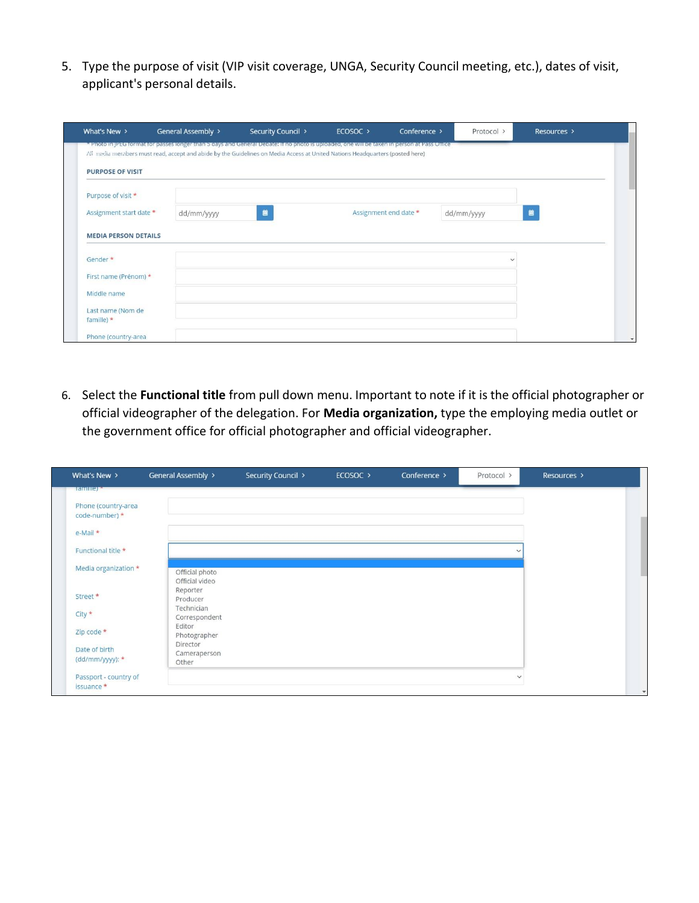5. Type the purpose of visit (VIP visit coverage, UNGA, Security Council meeting, etc.), dates of visit, applicant's personal details.

|                             | General Assembly ><br>Photo in PEG formation passes longer than 5 days and General Debate. If no photons uploaded, one will be taken in person at Pass Uniter | Security Council > |                       |            |              |
|-----------------------------|---------------------------------------------------------------------------------------------------------------------------------------------------------------|--------------------|-----------------------|------------|--------------|
|                             | All media members must read, accept and abide by the Guidelines on Media Access at United Nations Headquarters (posted here)                                  |                    |                       |            |              |
| <b>PURPOSE OF VISIT</b>     |                                                                                                                                                               |                    |                       |            |              |
| Purpose of visit *          |                                                                                                                                                               |                    |                       |            |              |
| Assignment start date *     | dd/mm/yyyy                                                                                                                                                    | 自                  | Assignment end date * | dd/mm/yyyy | 曽            |
| <b>MEDIA PERSON DETAILS</b> |                                                                                                                                                               |                    |                       |            |              |
|                             |                                                                                                                                                               |                    |                       |            |              |
| Gender *                    |                                                                                                                                                               |                    |                       |            | $\checkmark$ |
| First name (Prénom) *       |                                                                                                                                                               |                    |                       |            |              |
| Middle name                 |                                                                                                                                                               |                    |                       |            |              |
| Last name (Nom de           |                                                                                                                                                               |                    |                       |            |              |
| famille) $*$                |                                                                                                                                                               |                    |                       |            |              |
| Phone (country-area         |                                                                                                                                                               |                    |                       |            |              |

6. Select the **Functional title** from pull down menu. Important to note if it is the official photographer or official videographer of the delegation. For **Media organization,** type the employing media outlet or the government office for official photographer and official videographer.

| What's New >                          | General Assembly >               | Security Council > | ECOSOC > | Conference > | Protocol >   | Resources > |
|---------------------------------------|----------------------------------|--------------------|----------|--------------|--------------|-------------|
| <b>Hamilier</b>                       |                                  |                    |          |              |              |             |
| Phone (country-area<br>code-number) * |                                  |                    |          |              |              |             |
| $e$ -Mail $*$                         |                                  |                    |          |              |              |             |
| Functional title *                    |                                  |                    |          |              |              |             |
| Media organization *                  | Official photo<br>Official video |                    |          |              |              |             |
| Street *                              | Reporter<br>Producer             |                    |          |              |              |             |
| $City *$                              | Technician<br>Correspondent      |                    |          |              |              |             |
| Zip code *                            | Editor<br>Photographer           |                    |          |              |              |             |
| Date of birth                         | Director<br>Cameraperson         |                    |          |              |              |             |
| (dd/mm/yyyy): *                       | Other                            |                    |          |              |              |             |
| Passport - country of<br>issuance *   |                                  |                    |          |              | $\checkmark$ |             |